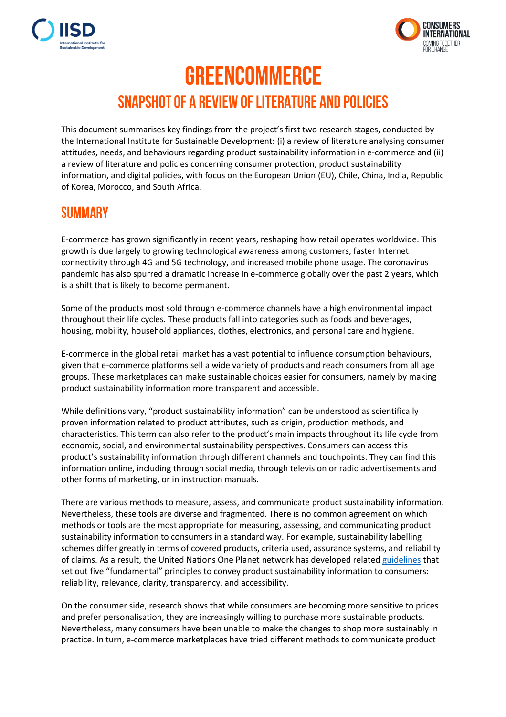



## **GREENCOMMERCE SNAPSHOT OF A REVIEW OF LITERATURE AND POLICIES**

This document summarises key findings from the project's first two research stages, conducted by the International Institute for Sustainable Development: (i) a review of literature analysing consumer attitudes, needs, and behaviours regarding product sustainability information in e-commerce and (ii) a review of literature and policies concerning consumer protection, product sustainability information, and digital policies, with focus on the European Union (EU), Chile, China, India, Republic of Korea, Morocco, and South Africa.

## **SUMMARY**

E-commerce has grown significantly in recent years, reshaping how retail operates worldwide. This growth is due largely to growing technological awareness among customers, faster Internet connectivity through 4G and 5G technology, and increased mobile phone usage. The coronavirus pandemic has also spurred a dramatic increase in e-commerce globally over the past 2 years, which is a shift that is likely to become permanent.

Some of the products most sold through e-commerce channels have a high environmental impact throughout their life cycles. These products fall into categories such as foods and beverages, housing, mobility, household appliances, clothes, electronics, and personal care and hygiene.

E-commerce in the global retail market has a vast potential to influence consumption behaviours, given that e-commerce platforms sell a wide variety of products and reach consumers from all age groups. These marketplaces can make sustainable choices easier for consumers, namely by making product sustainability information more transparent and accessible.

While definitions vary, "product sustainability information" can be understood as scientifically proven information related to product attributes, such as origin, production methods, and characteristics. This term can also refer to the product's main impacts throughout its life cycle from economic, social, and environmental sustainability perspectives. Consumers can access this product's sustainability information through different channels and touchpoints. They can find this information online, including through social media, through television or radio advertisements and other forms of marketing, or in instruction manuals.

There are various methods to measure, assess, and communicate product sustainability information. Nevertheless, these tools are diverse and fragmented. There is no common agreement on which methods or tools are the most appropriate for measuring, assessing, and communicating product sustainability information to consumers in a standard way. For example, sustainability labelling schemes differ greatly in terms of covered products, criteria used, assurance systems, and reliability of claims. As a result, the United Nations One Planet network has developed relate[d guidelines](https://www.oneplanetnetwork.org/knowledge-centre/resources/guidelines-providing-product-sustainability-information) that set out five "fundamental" principles to convey product sustainability information to consumers: reliability, relevance, clarity, transparency, and accessibility.

On the consumer side, research shows that while consumers are becoming more sensitive to prices and prefer personalisation, they are increasingly willing to purchase more sustainable products. Nevertheless, many consumers have been unable to make the changes to shop more sustainably in practice. In turn, e-commerce marketplaces have tried different methods to communicate product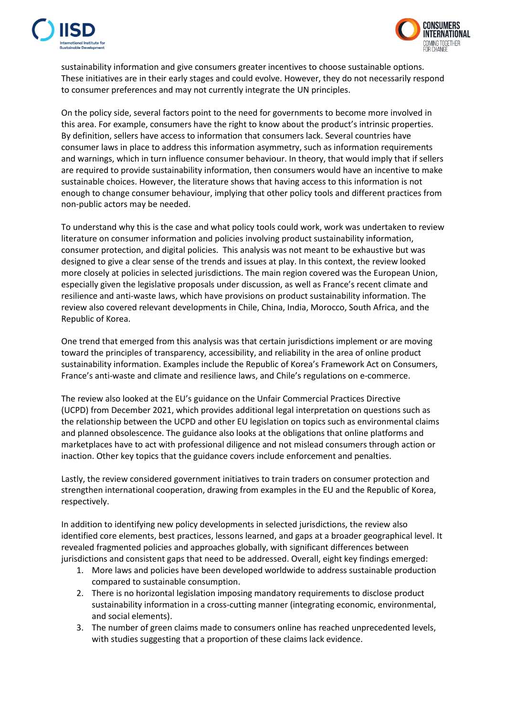



sustainability information and give consumers greater incentives to choose sustainable options. These initiatives are in their early stages and could evolve. However, they do not necessarily respond to consumer preferences and may not currently integrate the UN principles.

On the policy side, several factors point to the need for governments to become more involved in this area. For example, consumers have the right to know about the product's intrinsic properties. By definition, sellers have access to information that consumers lack. Several countries have consumer laws in place to address this information asymmetry, such as information requirements and warnings, which in turn influence consumer behaviour. In theory, that would imply that if sellers are required to provide sustainability information, then consumers would have an incentive to make sustainable choices. However, the literature shows that having access to this information is not enough to change consumer behaviour, implying that other policy tools and different practices from non-public actors may be needed.

To understand why this is the case and what policy tools could work, work was undertaken to review literature on consumer information and policies involving product sustainability information, consumer protection, and digital policies. This analysis was not meant to be exhaustive but was designed to give a clear sense of the trends and issues at play. In this context, the review looked more closely at policies in selected jurisdictions. The main region covered was the European Union, especially given the legislative proposals under discussion, as well as France's recent climate and resilience and anti-waste laws, which have provisions on product sustainability information. The review also covered relevant developments in Chile, China, India, Morocco, South Africa, and the Republic of Korea.

One trend that emerged from this analysis was that certain jurisdictions implement or are moving toward the principles of transparency, accessibility, and reliability in the area of online product sustainability information. Examples include the Republic of Korea's Framework Act on Consumers, France's anti-waste and climate and resilience laws, and Chile's regulations on e-commerce.

The review also looked at the EU's guidance on the Unfair Commercial Practices Directive (UCPD) from December 2021, which provides additional legal interpretation on questions such as the relationship between the UCPD and other EU legislation on topics such as environmental claims and planned obsolescence. The guidance also looks at the obligations that online platforms and marketplaces have to act with professional diligence and not mislead consumers through action or inaction. Other key topics that the guidance covers include enforcement and penalties.

Lastly, the review considered government initiatives to train traders on consumer protection and strengthen international cooperation, drawing from examples in the EU and the Republic of Korea, respectively.

In addition to identifying new policy developments in selected jurisdictions, the review also identified core elements, best practices, lessons learned, and gaps at a broader geographical level. It revealed fragmented policies and approaches globally, with significant differences between jurisdictions and consistent gaps that need to be addressed. Overall, eight key findings emerged:

- 1. More laws and policies have been developed worldwide to address sustainable production compared to sustainable consumption.
- 2. There is no horizontal legislation imposing mandatory requirements to disclose product sustainability information in a cross-cutting manner (integrating economic, environmental, and social elements).
- 3. The number of green claims made to consumers online has reached unprecedented levels, with studies suggesting that a proportion of these claims lack evidence.